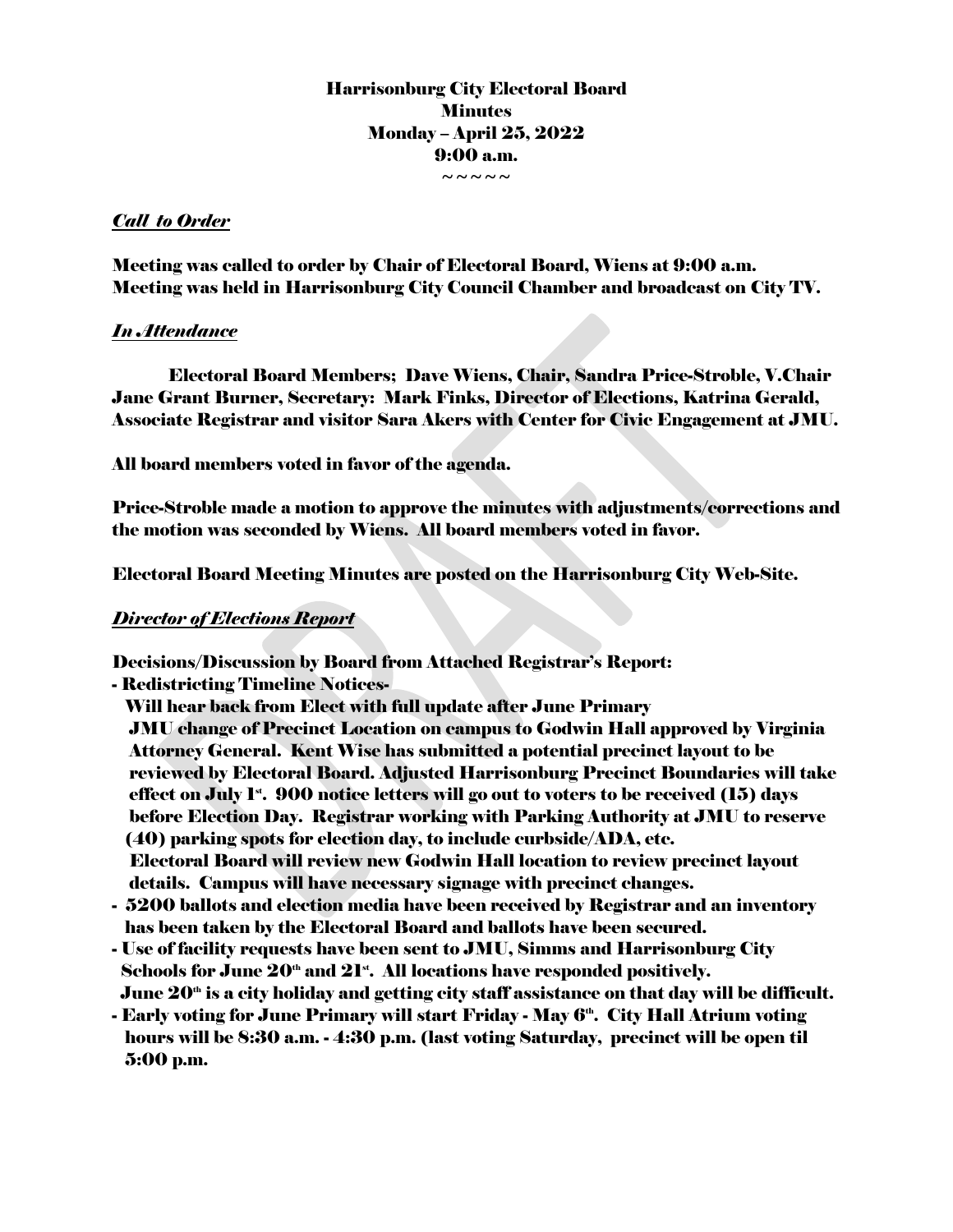# Harrisonburg City Electoral Board **Minutes** Monday – April 25, 2022 9:00 a.m.

~~~~~

### *Call to Order*

Meeting was called to order by Chair of Electoral Board, Wiens at 9:00 a.m. Meeting was held in Harrisonburg City Council Chamber and broadcast on City TV.

### *In Attendance*

Electoral Board Members; Dave Wiens, Chair, Sandra Price-Stroble, V.Chair Jane Grant Burner, Secretary: Mark Finks, Director of Elections, Katrina Gerald, Associate Registrar and visitor Sara Akers with Center for Civic Engagement at JMU.

All board members voted in favor of the agenda.

Price-Stroble made a motion to approve the minutes with adjustments/corrections and the motion was seconded by Wiens. All board members voted in favor.

Electoral Board Meeting Minutes are posted on the Harrisonburg City Web-Site.

# *Director of Elections Report*

Decisions/Discussion by Board from Attached Registrar's Report:

- Redistricting Timeline Notices-

 Will hear back from Elect with full update after June Primary JMU change of Precinct Location on campus to Godwin Hall approved by Virginia Attorney General. Kent Wise has submitted a potential precinct layout to be reviewed by Electoral Board. Adjusted Harrisonburg Precinct Boundaries will take effect on July  $I^*$ . 900 notice letters will go out to voters to be received  $(15)$  days before Election Day. Registrar working with Parking Authority at JMU to reserve (40) parking spots for election day, to include curbside/ADA, etc. Electoral Board will review new Godwin Hall location to review precinct layout details. Campus will have necessary signage with precinct changes.

- 5200 ballots and election media have been received by Registrar and an inventory has been taken by the Electoral Board and ballots have been secured.
- Use of facility requests have been sent to JMU, Simms and Harrisonburg City Schools for June  $20^{\omega}$  and  $21^{\omega}$ . All locations have responded positively. June  $20<sup>th</sup>$  is a city holiday and getting city staff assistance on that day will be difficult.
- Early voting for June Primary will start Friday May  $6<sup>th</sup>$ . City Hall Atrium voting hours will be 8:30 a.m. - 4:30 p.m. (last voting Saturday, precinct will be open til 5:00 p.m.